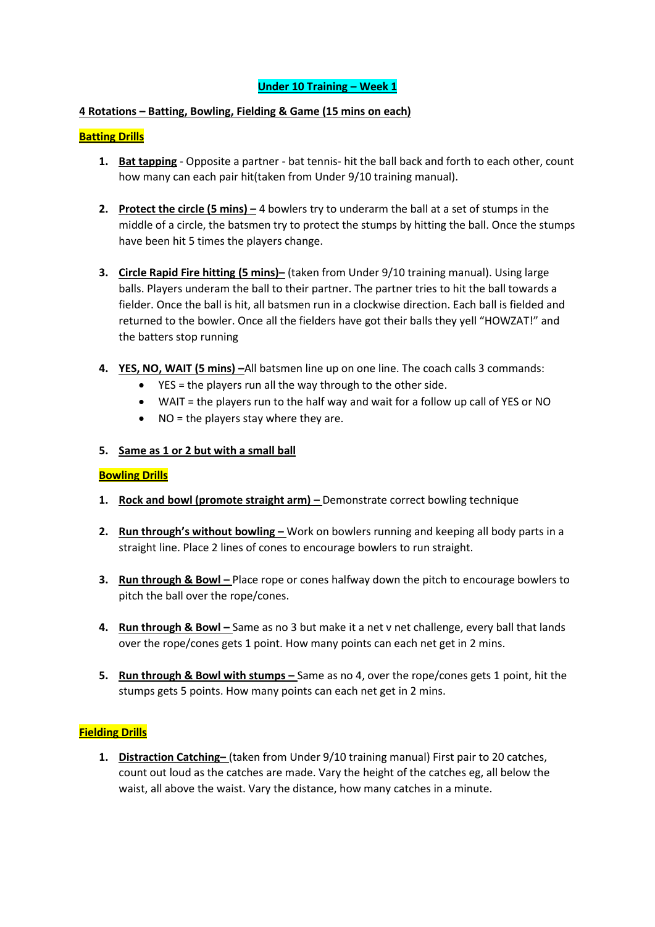### **4 Rotations – Batting, Bowling, Fielding & Game (15 mins on each)**

### **Batting Drills**

- **1. Bat tapping** Opposite a partner bat tennis- hit the ball back and forth to each other, count how many can each pair hit(taken from Under 9/10 training manual).
- **2.** Protect the circle (5 mins) 4 bowlers try to underarm the ball at a set of stumps in the middle of a circle, the batsmen try to protect the stumps by hitting the ball. Once the stumps have been hit 5 times the players change.
- **3. Circle Rapid Fire hitting (5 mins)–** (taken from Under 9/10 training manual). Using large balls. Players underam the ball to their partner. The partner tries to hit the ball towards a fielder. Once the ball is hit, all batsmen run in a clockwise direction. Each ball is fielded and returned to the bowler. Once all the fielders have got their balls they yell "HOWZAT!" and the batters stop running
- **4. YES, NO, WAIT (5 mins) –**All batsmen line up on one line. The coach calls 3 commands:
	- YES = the players run all the way through to the other side.
	- WAIT = the players run to the half way and wait for a follow up call of YES or NO
	- $\bullet$  NO = the players stay where they are.

### **5. Same as 1 or 2 but with a small ball**

### **Bowling Drills**

- **1. Rock and bowl (promote straight arm) –** Demonstrate correct bowling technique
- **2. Run through's without bowling –** Work on bowlers running and keeping all body parts in a straight line. Place 2 lines of cones to encourage bowlers to run straight.
- **3.** Run through & Bowl Place rope or cones halfway down the pitch to encourage bowlers to pitch the ball over the rope/cones.
- **4.** Run through & Bowl Same as no 3 but make it a net v net challenge, every ball that lands over the rope/cones gets 1 point. How many points can each net get in 2 mins.
- **5. Run through & Bowl with stumps –** Same as no 4, over the rope/cones gets 1 point, hit the stumps gets 5 points. How many points can each net get in 2 mins.

### **Fielding Drills**

**1. Distraction Catching–** (taken from Under 9/10 training manual) First pair to 20 catches, count out loud as the catches are made. Vary the height of the catches eg, all below the waist, all above the waist. Vary the distance, how many catches in a minute.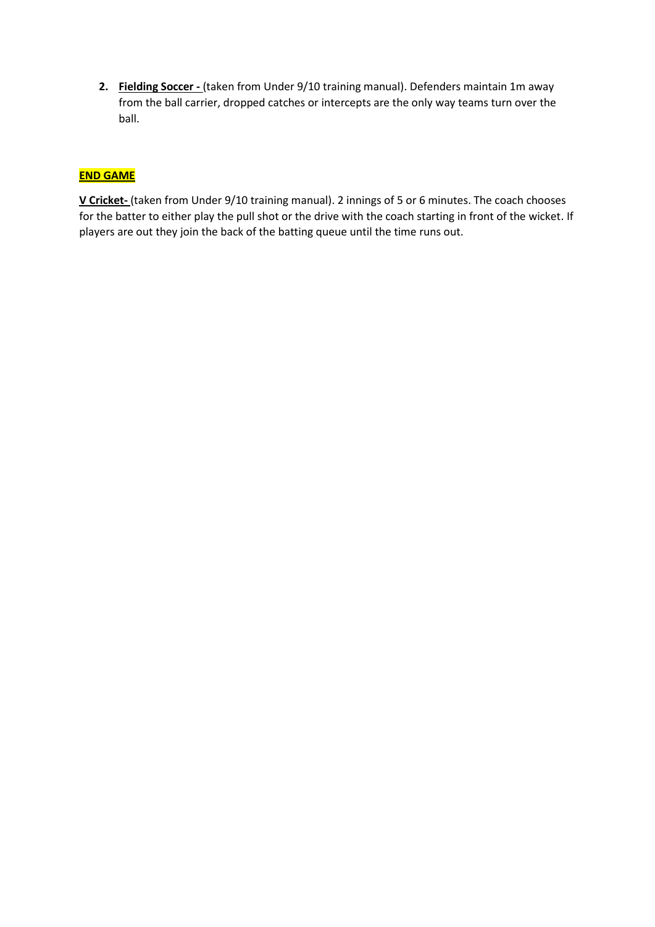**2. Fielding Soccer -** (taken from Under 9/10 training manual). Defenders maintain 1m away from the ball carrier, dropped catches or intercepts are the only way teams turn over the ball.

# **END GAME**

**V Cricket-** (taken from Under 9/10 training manual). 2 innings of 5 or 6 minutes. The coach chooses for the batter to either play the pull shot or the drive with the coach starting in front of the wicket. If players are out they join the back of the batting queue until the time runs out.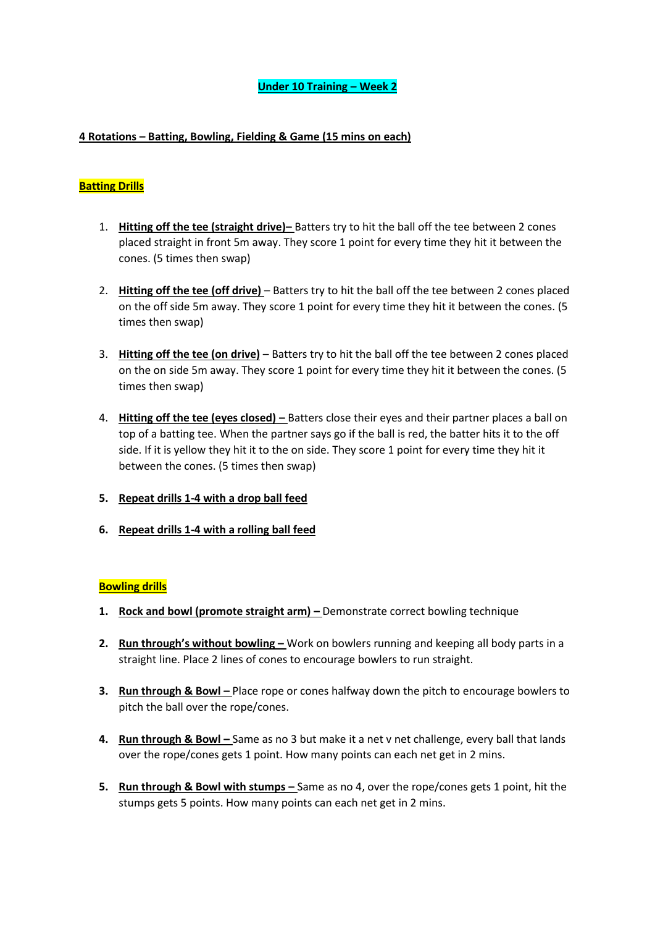### **4 Rotations – Batting, Bowling, Fielding & Game (15 mins on each)**

# **Batting Drills**

- 1. **Hitting off the tee (straight drive)–** Batters try to hit the ball off the tee between 2 cones placed straight in front 5m away. They score 1 point for every time they hit it between the cones. (5 times then swap)
- 2. **Hitting off the tee (off drive)** Batters try to hit the ball off the tee between 2 cones placed on the off side 5m away. They score 1 point for every time they hit it between the cones. (5 times then swap)
- 3. **Hitting off the tee (on drive)** Batters try to hit the ball off the tee between 2 cones placed on the on side 5m away. They score 1 point for every time they hit it between the cones. (5 times then swap)
- 4. **Hitting off the tee (eyes closed) –** Batters close their eyes and their partner places a ball on top of a batting tee. When the partner says go if the ball is red, the batter hits it to the off side. If it is yellow they hit it to the on side. They score 1 point for every time they hit it between the cones. (5 times then swap)
- **5. Repeat drills 1-4 with a drop ball feed**
- **6. Repeat drills 1-4 with a rolling ball feed**

### **Bowling drills**

- **1. Rock and bowl (promote straight arm) –** Demonstrate correct bowling technique
- **2. Run through's without bowling –** Work on bowlers running and keeping all body parts in a straight line. Place 2 lines of cones to encourage bowlers to run straight.
- **3.** Run through & Bowl Place rope or cones halfway down the pitch to encourage bowlers to pitch the ball over the rope/cones.
- **4.** Run through & Bowl Same as no 3 but make it a net v net challenge, every ball that lands over the rope/cones gets 1 point. How many points can each net get in 2 mins.
- **5. Run through & Bowl with stumps –** Same as no 4, over the rope/cones gets 1 point, hit the stumps gets 5 points. How many points can each net get in 2 mins.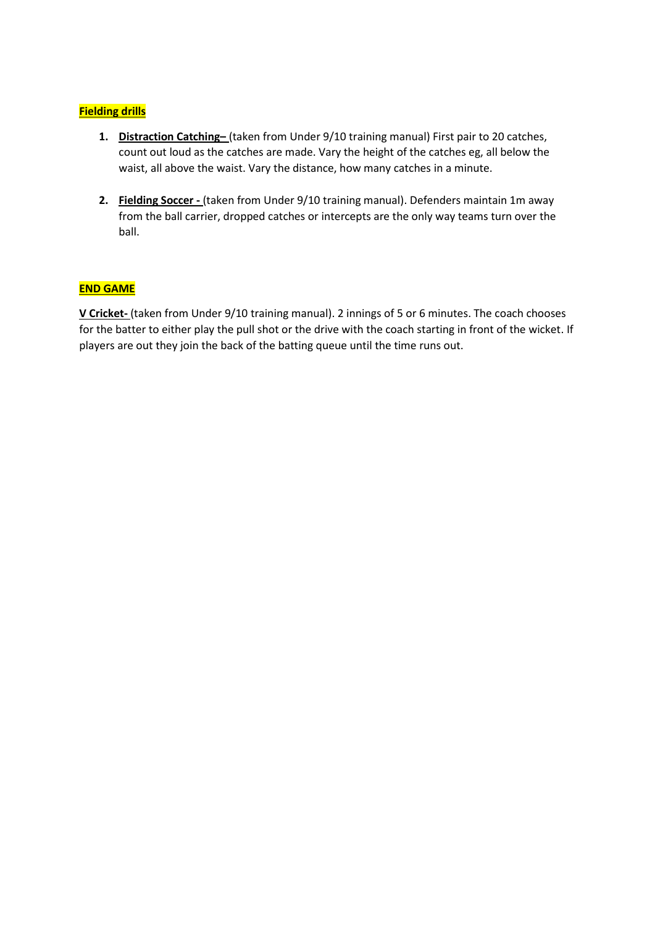# **Fielding drills**

- **1. Distraction Catching–** (taken from Under 9/10 training manual) First pair to 20 catches, count out loud as the catches are made. Vary the height of the catches eg, all below the waist, all above the waist. Vary the distance, how many catches in a minute.
- **2. Fielding Soccer -** (taken from Under 9/10 training manual). Defenders maintain 1m away from the ball carrier, dropped catches or intercepts are the only way teams turn over the ball.

# **END GAME**

**V Cricket-** (taken from Under 9/10 training manual). 2 innings of 5 or 6 minutes. The coach chooses for the batter to either play the pull shot or the drive with the coach starting in front of the wicket. If players are out they join the back of the batting queue until the time runs out.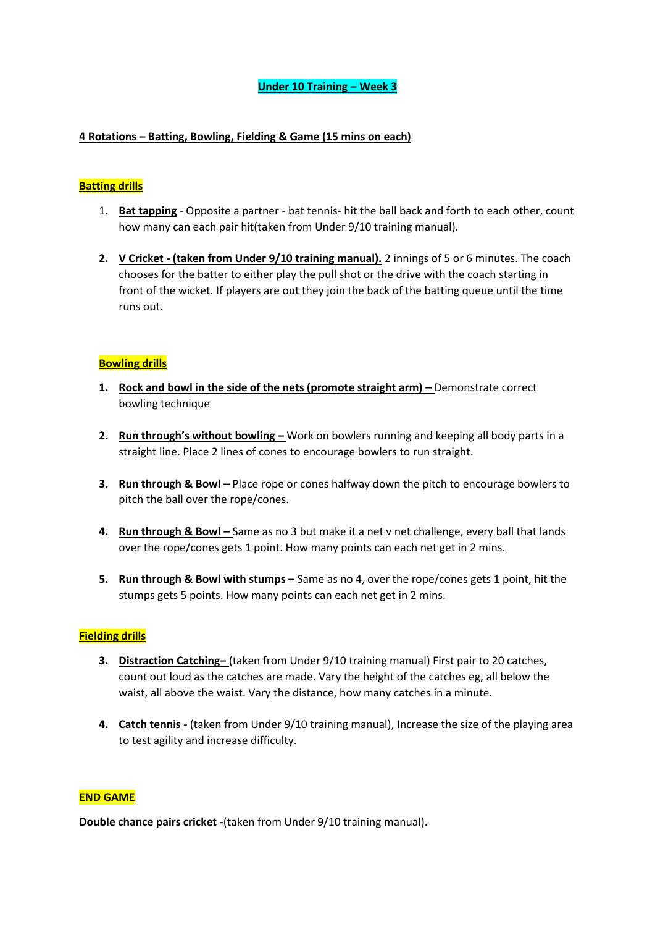### **4 Rotations – Batting, Bowling, Fielding & Game (15 mins on each)**

### **Batting drills**

- 1. **Bat tapping** Opposite a partner bat tennis- hit the ball back and forth to each other, count how many can each pair hit(taken from Under 9/10 training manual).
- **2. V Cricket - (taken from Under 9/10 training manual).** 2 innings of 5 or 6 minutes. The coach chooses for the batter to either play the pull shot or the drive with the coach starting in front of the wicket. If players are out they join the back of the batting queue until the time runs out.

### **Bowling drills**

- **1.** Rock and bowl in the side of the nets (promote straight arm) Demonstrate correct bowling technique
- **2. Run through's without bowling –** Work on bowlers running and keeping all body parts in a straight line. Place 2 lines of cones to encourage bowlers to run straight.
- **3.** Run through & Bowl Place rope or cones halfway down the pitch to encourage bowlers to pitch the ball over the rope/cones.
- **4. Run through & Bowl** Same as no 3 but make it a net v net challenge, every ball that lands over the rope/cones gets 1 point. How many points can each net get in 2 mins.
- **5.** Run through & Bowl with stumps Same as no 4, over the rope/cones gets 1 point, hit the stumps gets 5 points. How many points can each net get in 2 mins.

### **Fielding drills**

- **3. Distraction Catching–** (taken from Under 9/10 training manual) First pair to 20 catches, count out loud as the catches are made. Vary the height of the catches eg, all below the waist, all above the waist. Vary the distance, how many catches in a minute.
- **4. Catch tennis -** (taken from Under 9/10 training manual), Increase the size of the playing area to test agility and increase difficulty.

### **END GAME**

**Double chance pairs cricket -**(taken from Under 9/10 training manual).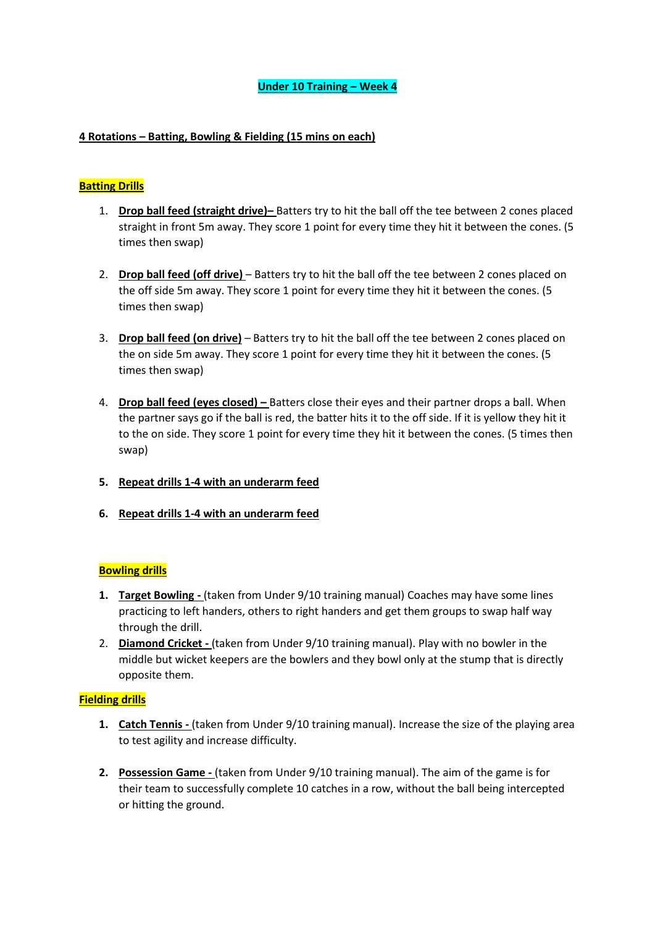### **4 Rotations – Batting, Bowling & Fielding (15 mins on each)**

# **Batting Drills**

- 1. **Drop ball feed (straight drive)–** Batters try to hit the ball off the tee between 2 cones placed straight in front 5m away. They score 1 point for every time they hit it between the cones. (5 times then swap)
- 2. **Drop ball feed (off drive)** Batters try to hit the ball off the tee between 2 cones placed on the off side 5m away. They score 1 point for every time they hit it between the cones. (5 times then swap)
- 3. **Drop ball feed (on drive)** Batters try to hit the ball off the tee between 2 cones placed on the on side 5m away. They score 1 point for every time they hit it between the cones. (5 times then swap)
- 4. **Drop ball feed (eyes closed) –** Batters close their eyes and their partner drops a ball. When the partner says go if the ball is red, the batter hits it to the off side. If it is yellow they hit it to the on side. They score 1 point for every time they hit it between the cones. (5 times then swap)
- **5. Repeat drills 1-4 with an underarm feed**
- **6. Repeat drills 1-4 with an underarm feed**

### **Bowling drills**

- **1. Target Bowling -** (taken from Under 9/10 training manual) Coaches may have some lines practicing to left handers, others to right handers and get them groups to swap half way through the drill.
- 2. **Diamond Cricket -** (taken from Under 9/10 training manual). Play with no bowler in the middle but wicket keepers are the bowlers and they bowl only at the stump that is directly opposite them.

### **Fielding drills**

- **1. Catch Tennis -** (taken from Under 9/10 training manual). Increase the size of the playing area to test agility and increase difficulty.
- **2. Possession Game -** (taken from Under 9/10 training manual). The aim of the game is for their team to successfully complete 10 catches in a row, without the ball being intercepted or hitting the ground.